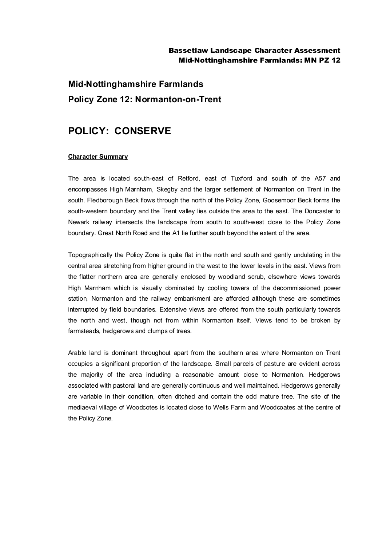### Bassetlaw Landscape Character Assessment Mid-Nottinghamshire Farmlands: MN PZ 12

# **Mid-Nottinghamshire Farmlands Policy Zone 12: Normanton-on-Trent**

## **POLICY: CONSERVE**

#### **Character Summary**

The area is located south-east of Retford, east of Tuxford and south of the A57 and encompasses High Marnham, Skegby and the larger settlement of Normanton on Trent in the south. Fledborough Beck flows through the north of the Policy Zone, Goosemoor Beck forms the south-western boundary and the Trent valley lies outside the area to the east. The Doncaster to Newark railway intersects the landscape from south to south-west close to the Policy Zone boundary. Great North Road and the A1 lie further south beyond the extent of the area.

Topographically the Policy Zone is quite flat in the north and south and gently undulating in the central area stretching from higher ground in the west to the lower levels in the east. Views from the flatter northern area are generally enclosed by woodland scrub, elsewhere views towards High Marnham which is visually dominated by cooling towers of the decommissioned power station, Normanton and the railway embankment are afforded although these are sometimes interrupted by field boundaries. Extensive views are offered from the south particularly towards the north and west, though not from within Normanton itself. Views tend to be broken by farmsteads, hedgerows and clumps of trees.

Arable land is dominant throughout apart from the southern area where Normanton on Trent occupies a significant proportion of the landscape. Small parcels of pasture are evident across the majority of the area including a reasonable amount close to Normanton. Hedgerows associated with pastoral land are generally continuous and well maintained. Hedgerows generally are variable in their condition, often ditched and contain the odd mature tree. The site of the mediaeval village of Woodcotes is located close to Wells Farm and Woodcoates at the centre of the Policy Zone.